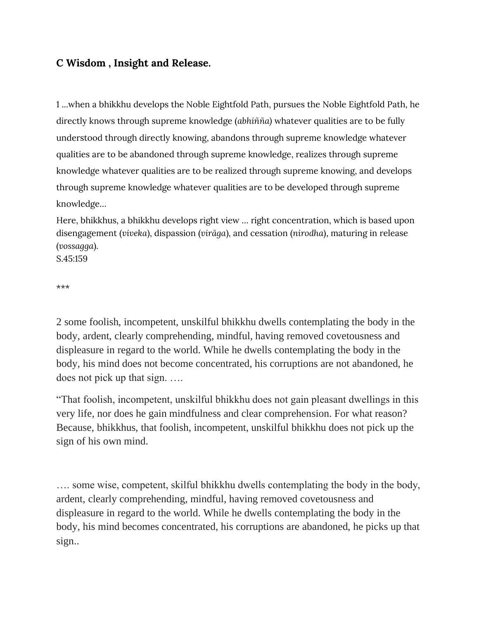## **C Wisdom , Insight and Release.**

1 ...when a bhikkhu develops the Noble Eightfold Path, pursues the Noble Eightfold Path, he directly knows through supreme knowledge (*abhiñña)* whatever qualities are to be fully understood through directly knowing, abandons through supreme knowledge whatever qualities are to be abandoned through supreme knowledge, realizes through supreme knowledge whatever qualities are to be realized through supreme knowing, and develops through supreme knowledge whatever qualities are to be developed through supreme knowledge…

Here, bhikkhus, a bhikkhu develops right view … right concentration, which is based upon disengagement (*viveka*), dispassion (*virāga*), and cessation (*nirodha*), maturing in release (*vossagga*).

S.45:159

\*\*\*

2 some foolish, incompetent, unskilful bhikkhu dwells contemplating the body in the body, ardent, clearly comprehending, mindful, having removed covetousness and displeasure in regard to the world. While he dwells contemplating the body in the body, his mind does not become concentrated, his corruptions are not abandoned, he does not pick up that sign. ….

"That foolish, incompetent, unskilful bhikkhu does not gain pleasant dwellings in this very life, nor does he gain mindfulness and clear comprehension. For what reason? Because, bhikkhus, that foolish, incompetent, unskilful bhikkhu does not pick up the sign of his own mind.

…. some wise, competent, skilful bhikkhu dwells contemplating the body in the body, ardent, clearly comprehending, mindful, having removed covetousness and displeasure in regard to the world. While he dwells contemplating the body in the body, his mind becomes concentrated, his corruptions are abandoned, he picks up that sign..